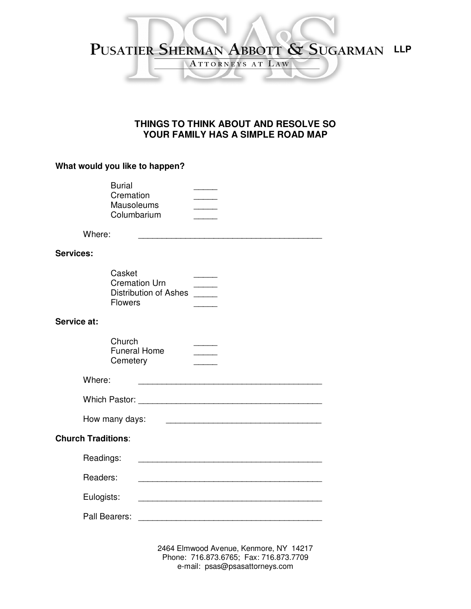## PUSATIER SHERMAN ABBOTT & SUGARMAN LLP ATTORNEYS AT LAW

## **THINGS TO THINK ABOUT AND RESOLVE SO YOUR FAMILY HAS A SIMPLE ROAD MAP**

## **What would you like to happen?**

|                           | <b>Burial</b><br>Cremation<br><b>Mausoleums</b><br>Columbarium            |                                                                                           |  |  |  |  |  |
|---------------------------|---------------------------------------------------------------------------|-------------------------------------------------------------------------------------------|--|--|--|--|--|
| Where:                    |                                                                           |                                                                                           |  |  |  |  |  |
| <b>Services:</b>          |                                                                           |                                                                                           |  |  |  |  |  |
|                           | Casket<br><b>Cremation Urn</b><br>Distribution of Ashes<br><b>Flowers</b> |                                                                                           |  |  |  |  |  |
| Service at:               |                                                                           |                                                                                           |  |  |  |  |  |
|                           | Church<br><b>Funeral Home</b><br>Cemetery                                 | $\sim$ $\sim$                                                                             |  |  |  |  |  |
| Where:                    |                                                                           |                                                                                           |  |  |  |  |  |
|                           |                                                                           |                                                                                           |  |  |  |  |  |
|                           | How many days:                                                            |                                                                                           |  |  |  |  |  |
| <b>Church Traditions:</b> |                                                                           |                                                                                           |  |  |  |  |  |
|                           | Readings:                                                                 |                                                                                           |  |  |  |  |  |
|                           | Readers:                                                                  |                                                                                           |  |  |  |  |  |
|                           | Eulogists:                                                                |                                                                                           |  |  |  |  |  |
| Pall Bearers:             |                                                                           | the control of the control of the control of the control of the control of the control of |  |  |  |  |  |

2464 Elmwood Avenue, Kenmore, NY 14217 Phone: 716.873.6765; Fax: 716.873.7709 e-mail: psas@psasattorneys.com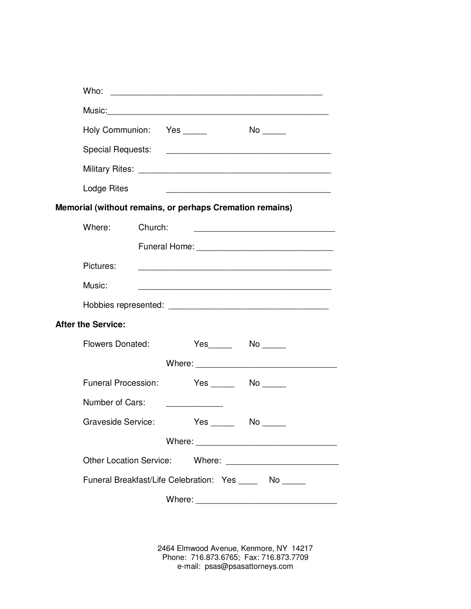|                                                          | Who:                                                     |         |  |  |  |                                             |                                                   |
|----------------------------------------------------------|----------------------------------------------------------|---------|--|--|--|---------------------------------------------|---------------------------------------------------|
|                                                          |                                                          |         |  |  |  |                                             |                                                   |
|                                                          | Holy Communion: Yes                                      |         |  |  |  |                                             |                                                   |
|                                                          | Special Requests: New York Special Requests:             |         |  |  |  |                                             |                                                   |
|                                                          |                                                          |         |  |  |  |                                             |                                                   |
|                                                          | Lodge Rites                                              |         |  |  |  |                                             | <u> 1989 - Johann Barbara, markatur basalar (</u> |
| Memorial (without remains, or perhaps Cremation remains) |                                                          |         |  |  |  |                                             |                                                   |
|                                                          | Where:                                                   | Church: |  |  |  |                                             |                                                   |
|                                                          |                                                          |         |  |  |  |                                             |                                                   |
|                                                          | Pictures:                                                |         |  |  |  |                                             |                                                   |
|                                                          | Music:                                                   |         |  |  |  |                                             |                                                   |
|                                                          |                                                          |         |  |  |  |                                             |                                                   |
|                                                          | <b>After the Service:</b>                                |         |  |  |  |                                             |                                                   |
|                                                          | Flowers Donated:                                         |         |  |  |  | $Yes$ No $\qquad \qquad$ No $\qquad \qquad$ |                                                   |
|                                                          |                                                          |         |  |  |  |                                             |                                                   |
|                                                          | <b>Funeral Procession:</b>                               |         |  |  |  |                                             |                                                   |
|                                                          | Number of Cars:                                          |         |  |  |  |                                             |                                                   |
|                                                          | <b>Graveside Service:</b>                                |         |  |  |  |                                             |                                                   |
|                                                          |                                                          |         |  |  |  |                                             |                                                   |
|                                                          |                                                          |         |  |  |  |                                             |                                                   |
|                                                          | Funeral Breakfast/Life Celebration: Yes ______ No ______ |         |  |  |  |                                             |                                                   |
|                                                          |                                                          |         |  |  |  |                                             |                                                   |

2464 Elmwood Avenue, Kenmore, NY 14217 Phone: 716.873.6765; Fax: 716.873.7709 e-mail: psas@psasattorneys.com